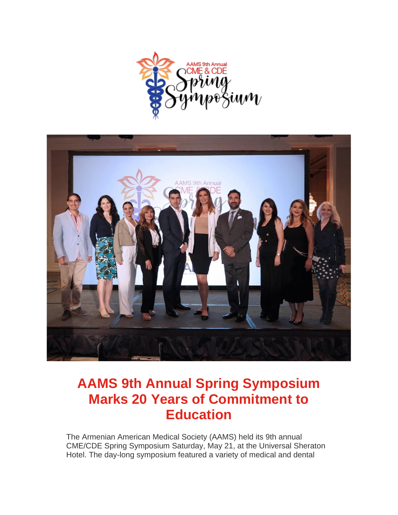



## **AAMS 9th Annual Spring Symposium Marks 20 Years of Commitment to Education**

The Armenian American Medical Society (AAMS) held its 9th annual CME/CDE Spring Symposium Saturday, May 21, at the Universal Sheraton Hotel. The day-long symposium featured a variety of medical and dental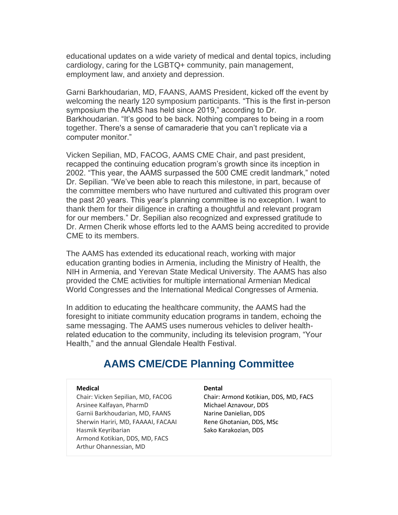educational updates on a wide variety of medical and dental topics, including cardiology, caring for the LGBTQ+ community, pain management, employment law, and anxiety and depression.

Garni Barkhoudarian, MD, FAANS, AAMS President, kicked off the event by welcoming the nearly 120 symposium participants. "This is the first in-person symposium the AAMS has held since 2019," according to Dr. Barkhoudarian. "It's good to be back. Nothing compares to being in a room together. There's a sense of camaraderie that you can't replicate via a computer monitor."

Vicken Sepilian, MD, FACOG, AAMS CME Chair, and past president, recapped the continuing education program's growth since its inception in 2002. "This year, the AAMS surpassed the 500 CME credit landmark," noted Dr. Sepilian. "We've been able to reach this milestone, in part, because of the committee members who have nurtured and cultivated this program over the past 20 years. This year's planning committee is no exception. I want to thank them for their diligence in crafting a thoughtful and relevant program for our members." Dr. Sepilian also recognized and expressed gratitude to Dr. Armen Cherik whose efforts led to the AAMS being accredited to provide CME to its members.

The AAMS has extended its educational reach, working with major education granting bodies in Armenia, including the Ministry of Health, the NIH in Armenia, and Yerevan State Medical University. The AAMS has also provided the CME activities for multiple international Armenian Medical World Congresses and the International Medical Congresses of Armenia.

In addition to educating the healthcare community, the AAMS had the foresight to initiate community education programs in tandem, echoing the same messaging. The AAMS uses numerous vehicles to deliver healthrelated education to the community, including its television program, "Your Health," and the annual Glendale Health Festival.

#### **AAMS CME/CDE Planning Committee**

#### **Medical**

Chair: Vicken Sepilian, MD, FACOG Arsinee Kalfayan, PharmD Garnii Barkhoudarian, MD, FAANS Sherwin Hariri, MD, FAAAAI, FACAAI Hasmik Keyribarian Armond Kotikian, DDS, MD, FACS Arthur Ohannessian, MD

#### **Dental**

Chair: Armond Kotikian, DDS, MD, FACS Michael Aznavour, DDS Narine Danielian, DDS Rene Ghotanian, DDS, MSc Sako Karakozian, DDS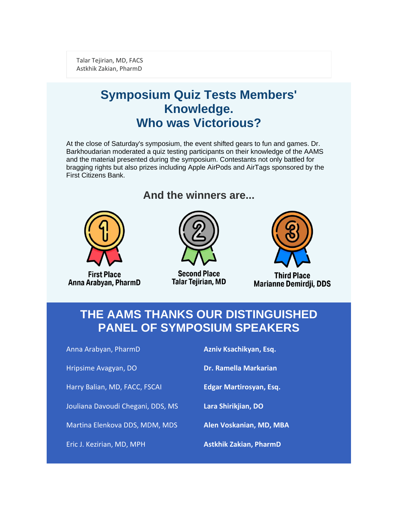Talar Tejirian, MD, FACS Astkhik Zakian, PharmD

## **Symposium Quiz Tests Members' Knowledge. Who was Victorious?**

At the close of Saturday's symposium, the event shifted gears to fun and games. Dr. Barkhoudarian moderated a quiz testing participants on their knowledge of the AAMS and the material presented during the symposium. Contestants not only battled for bragging rights but also prizes including Apple AirPods and AirTags sponsored by the First Citizens Bank.



**First Place** Anna Arabyan, PharmD

## **And the winners are...**



**Second Place Talar Tejirian, MD** 



**Third Place Marianne Demirdji, DDS** 

### **THE AAMS THANKS OUR DISTINGUISHED PANEL OF SYMPOSIUM SPEAKERS**

Anna Arabyan, PharmD

Hripsime Avagyan, DO

Harry Balian, MD, FACC, FSCAI

Jouliana Davoudi Chegani, DDS, MS

Martina Elenkova DDS, MDM, MDS

Eric J. Kezirian, MD, MPH

**Azniv Ksachikyan, Esq.**

**Dr. Ramella Markarian**

**Edgar Martirosyan, Esq.**

**Lara Shirikjian, DO**

**Alen Voskanian, MD, MBA**

**Astkhik Zakian, PharmD**